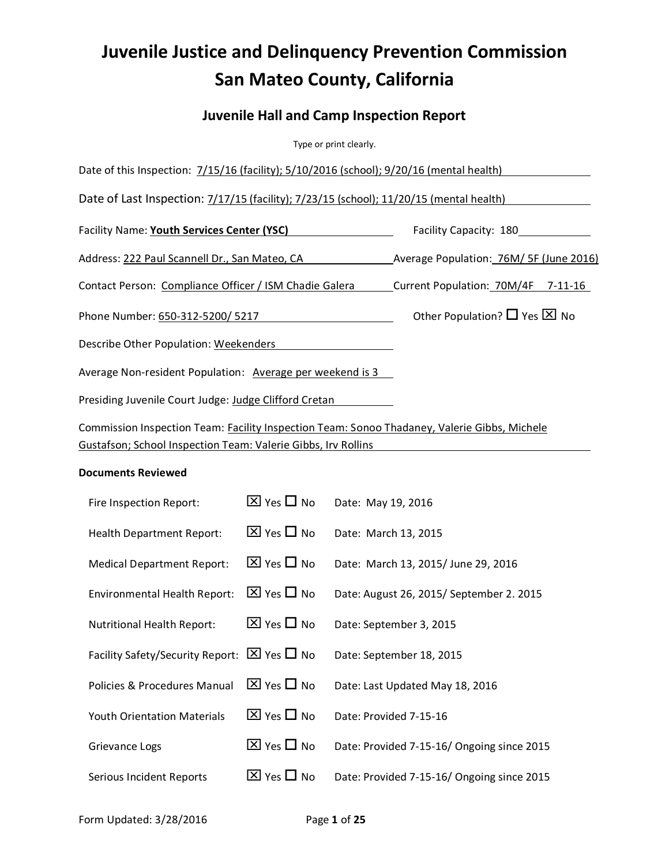# **Juvenile Justice and Delinquency Prevention Commission San Mateo County, California**

# **Juvenile Hall and Camp Inspection Report**

Type or print clearly.

| Date of this Inspection: 7/15/16 (facility); 5/10/2016 (school); 9/20/16 (mental health)     |                                             |
|----------------------------------------------------------------------------------------------|---------------------------------------------|
| Date of Last Inspection: 7/17/15 (facility); 7/23/15 (school); 11/20/15 (mental health)      |                                             |
| Facility Name: Youth Services Center (YSC)                                                   | Facility Capacity: 180                      |
| Address: 222 Paul Scannell Dr., San Mateo, CA                                                | Average Population: 76M/ 5F (June 2016)     |
| Contact Person: Compliance Officer / ISM Chadie Galera                                       | Current Population: 70M/4F 7-11-16          |
| Phone Number: 650-312-5200/ 5217                                                             | Other Population? $\Box$ Yes $\boxtimes$ No |
| Describe Other Population: Weekenders                                                        |                                             |
| Average Non-resident Population: Average per weekend is 3                                    |                                             |
| Presiding Juvenile Court Judge: Judge Clifford Cretan                                        |                                             |
| Commission Inspection Team: Facility Inspection Team: Sonoo Thadaney, Valerie Gibbs, Michele |                                             |

#### **Documents Reviewed**

Gustafson; School Inspection Team: Valerie Gibbs, Irv Rollins

| Fire Inspection Report:                                    | $\boxtimes$ Yes $\square$ No | Date: May 19, 2016                         |
|------------------------------------------------------------|------------------------------|--------------------------------------------|
| <b>Health Department Report:</b>                           | $\boxtimes$ Yes $\Box$ No    | Date: March 13, 2015                       |
| <b>Medical Department Report:</b>                          | $\boxtimes$ Yes $\Box$ No    | Date: March 13, 2015/ June 29, 2016        |
| <b>Environmental Health Report:</b>                        | $\boxtimes$ Yes $\Box$ No    | Date: August 26, 2015/ September 2. 2015   |
| <b>Nutritional Health Report:</b>                          | $\boxtimes$ Yes $\Box$ No    | Date: September 3, 2015                    |
| Facility Safety/Security Report: $\boxtimes$ Yes $\Box$ No |                              | Date: September 18, 2015                   |
| Policies & Procedures Manual                               | $\boxtimes$ Yes $\Box$ No    | Date: Last Updated May 18, 2016            |
| <b>Youth Orientation Materials</b>                         | $\boxtimes$ Yes $\Box$ No    | Date: Provided 7-15-16                     |
| Grievance Logs                                             | $\boxtimes$ Yes $\square$ No | Date: Provided 7-15-16/ Ongoing since 2015 |
| Serious Incident Reports                                   | $\boxtimes$ Yes $\Box$ No    | Date: Provided 7-15-16/ Ongoing since 2015 |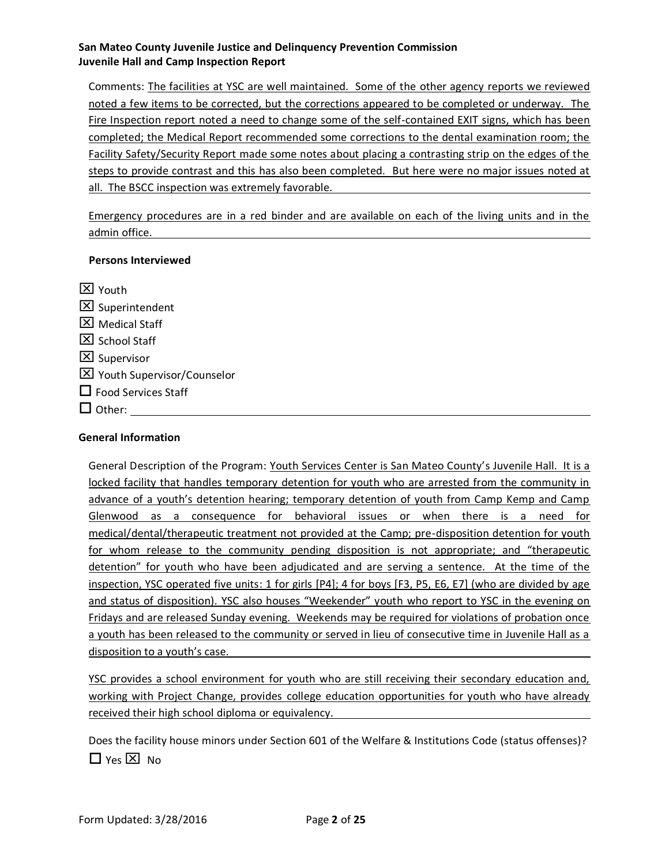Comments: The facilities at YSC are well maintained. Some of the other agency reports we reviewed noted a few items to be corrected, but the corrections appeared to be completed or underway. The Fire Inspection report noted a need to change some of the self-contained EXIT signs, which has been completed; the Medical Report recommended some corrections to the dental examination room; the Facility Safety/Security Report made some notes about placing a contrasting strip on the edges of the steps to provide contrast and this has also been completed. But here were no major issues noted at all. The BSCC inspection was extremely favorable.

Emergency procedures are in a red binder and are available on each of the living units and in the admin office.

#### **Persons Interviewed**

 $\boxtimes$  Youth  $\boxed{\times}$  Superintendent **X** Medical Staff  $\Sigma$  School Staff  $\boxtimes$  Supervisor Youth Supervisor/Counselor  $\Box$  Food Services Staff  $\Box$  Other:

#### **General Information**

General Description of the Program: Youth Services Center is San Mateo County's Juvenile Hall. It is a locked facility that handles temporary detention for youth who are arrested from the community in advance of a youth's detention hearing; temporary detention of youth from Camp Kemp and Camp Glenwood as a consequence for behavioral issues or when there is a need for medical/dental/therapeutic treatment not provided at the Camp; pre-disposition detention for youth for whom release to the community pending disposition is not appropriate; and "therapeutic detention" for youth who have been adjudicated and are serving a sentence. At the time of the inspection, YSC operated five units: 1 for girls [P4]; 4 for boys [F3, P5, E6, E7] (who are divided by age and status of disposition). YSC also houses "Weekender" youth who report to YSC in the evening on Fridays and are released Sunday evening. Weekends may be required for violations of probation once a youth has been released to the community or served in lieu of consecutive time in Juvenile Hall as a disposition to a youth's case.

YSC provides a school environment for youth who are still receiving their secondary education and, working with Project Change, provides college education opportunities for youth who have already received their high school diploma or equivalency.

Does the facility house minors under Section 601 of the Welfare & Institutions Code (status offenses)?  $\Box$  Yes  $\boxtimes$  No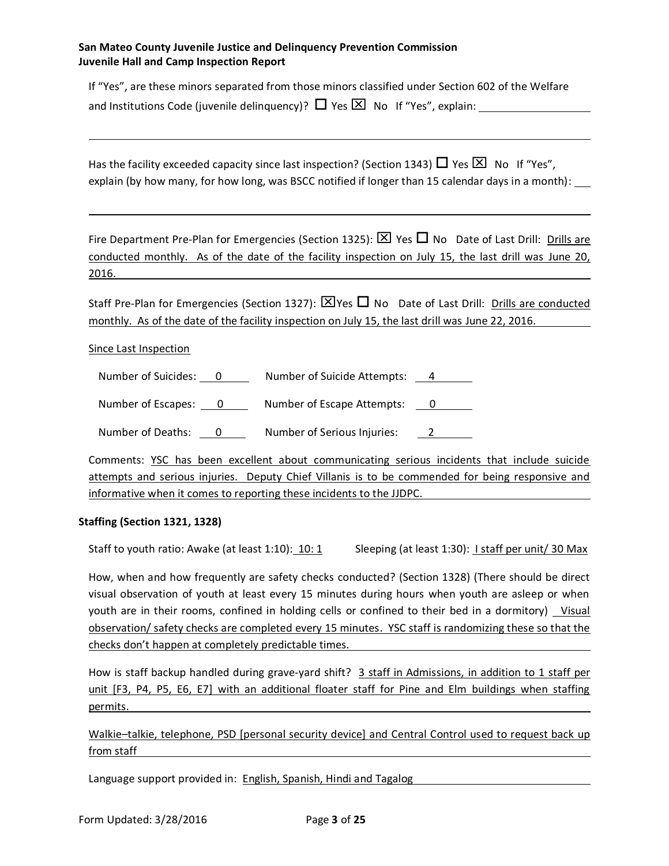If "Yes", are these minors separated from those minors classified under Section 602 of the Welfare and Institutions Code (juvenile delinquency)?  $\Box$  Yes  $\boxtimes$  No If "Yes", explain:

Has the facility exceeded capacity since last inspection? (Section 1343)  $\Box$  Yes  $\overline{\boxtimes}$  No If "Yes", explain (by how many, for how long, was BSCC notified if longer than 15 calendar days in a month):

Fire Department Pre-Plan for Emergencies (Section 1325):  $\boxtimes$  Yes  $\Box$  No Date of Last Drill: Drills are conducted monthly. As of the date of the facility inspection on July 15, the last drill was June 20, 2016.

Staff Pre-Plan for Emergencies (Section 1327):  $\boxtimes$  Yes  $\Box$  No Date of Last Drill: Drills are conducted monthly. As of the date of the facility inspection on July 15, the last drill was June 22, 2016.

Since Last Inspection

Number of Suicides: 0 \_\_\_\_\_\_ Number of Suicide Attempts: <u>4 \_\_\_\_\_</u>

Number of Escapes: 0 Number of Escape Attempts: 0

Number of Deaths: 0 \_\_\_\_\_\_\_\_ Number of Serious Injuries: 2 \_\_\_\_\_\_\_

Comments: YSC has been excellent about communicating serious incidents that include suicide attempts and serious injuries. Deputy Chief Villanis is to be commended for being responsive and informative when it comes to reporting these incidents to the JJDPC.

#### **Staffing (Section 1321, 1328)**

Staff to youth ratio: Awake (at least 1:10): 10: 1 Sleeping (at least 1:30): I staff per unit/ 30 Max

How, when and how frequently are safety checks conducted? (Section 1328) (There should be direct visual observation of youth at least every 15 minutes during hours when youth are asleep or when youth are in their rooms, confined in holding cells or confined to their bed in a dormitory) Visual observation/ safety checks are completed every 15 minutes. YSC staff is randomizing these so that the checks don't happen at completely predictable times.

How is staff backup handled during grave-yard shift? 3 staff in Admissions, in addition to 1 staff per unit [F3, P4, P5, E6, E7] with an additional floater staff for Pine and Elm buildings when staffing permits.

Walkie-talkie, telephone, PSD [personal security device] and Central Control used to request back up from staff

Language support provided in: English, Spanish, Hindi and Tagalog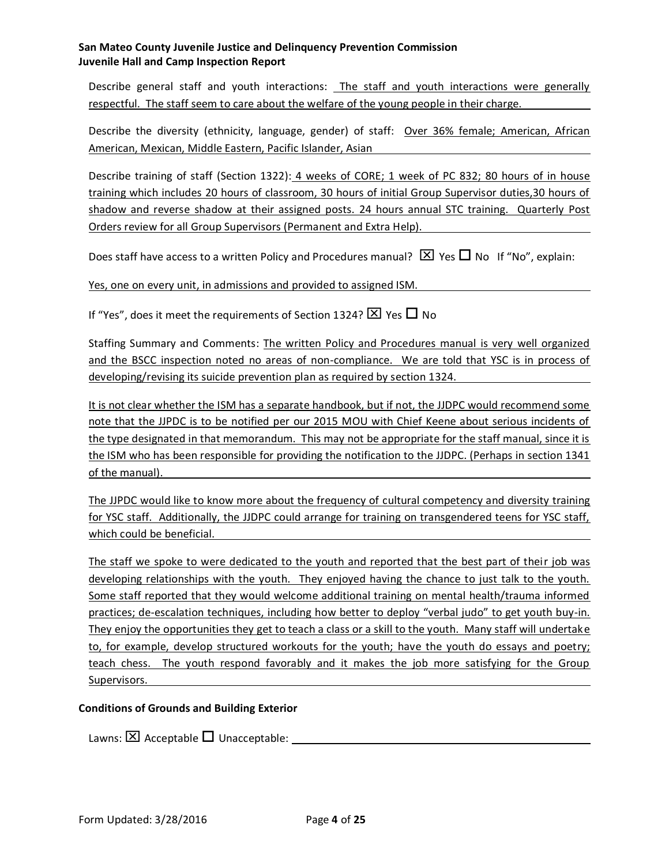Describe general staff and youth interactions: The staff and youth interactions were generally respectful. The staff seem to care about the welfare of the young people in their charge.

Describe the diversity (ethnicity, language, gender) of staff: Over 36% female; American, African American, Mexican, Middle Eastern, Pacific Islander, Asian

Describe training of staff (Section 1322): 4 weeks of CORE; 1 week of PC 832; 80 hours of in house training which includes 20 hours of classroom, 30 hours of initial Group Supervisor duties,30 hours of shadow and reverse shadow at their assigned posts. 24 hours annual STC training. Quarterly Post Orders review for all Group Supervisors (Permanent and Extra Help).

Does staff have access to a written Policy and Procedures manual?  $\boxtimes$  Yes  $\square$  No If "No", explain:

Yes, one on every unit, in admissions and provided to assigned ISM.

If "Yes", does it meet the requirements of Section 1324?  $\times$  Yes  $\Box$  No

Staffing Summary and Comments: The written Policy and Procedures manual is very well organized and the BSCC inspection noted no areas of non-compliance. We are told that YSC is in process of developing/revising its suicide prevention plan as required by section 1324.

It is not clear whether the ISM has a separate handbook, but if not, the JJDPC would recommend some note that the JJPDC is to be notified per our 2015 MOU with Chief Keene about serious incidents of the type designated in that memorandum. This may not be appropriate for the staff manual, since it is the ISM who has been responsible for providing the notification to the JJDPC. (Perhaps in section 1341 of the manual).

The JJPDC would like to know more about the frequency of cultural competency and diversity training for YSC staff. Additionally, the JJDPC could arrange for training on transgendered teens for YSC staff, which could be beneficial.

The staff we spoke to were dedicated to the youth and reported that the best part of their job was developing relationships with the youth. They enjoyed having the chance to just talk to the youth. Some staff reported that they would welcome additional training on mental health/trauma informed practices; de-escalation techniques, including how better to deploy "verbal judo" to get youth buy-in. They enjoy the opportunities they get to teach a class or a skill to the youth. Many staff will undertake to, for example, develop structured workouts for the youth; have the youth do essays and poetry; teach chess. The youth respond favorably and it makes the job more satisfying for the Group Supervisors.

#### **Conditions of Grounds and Building Exterior**

Lawns:  $\boxtimes$  Acceptable  $\Box$  Unacceptable: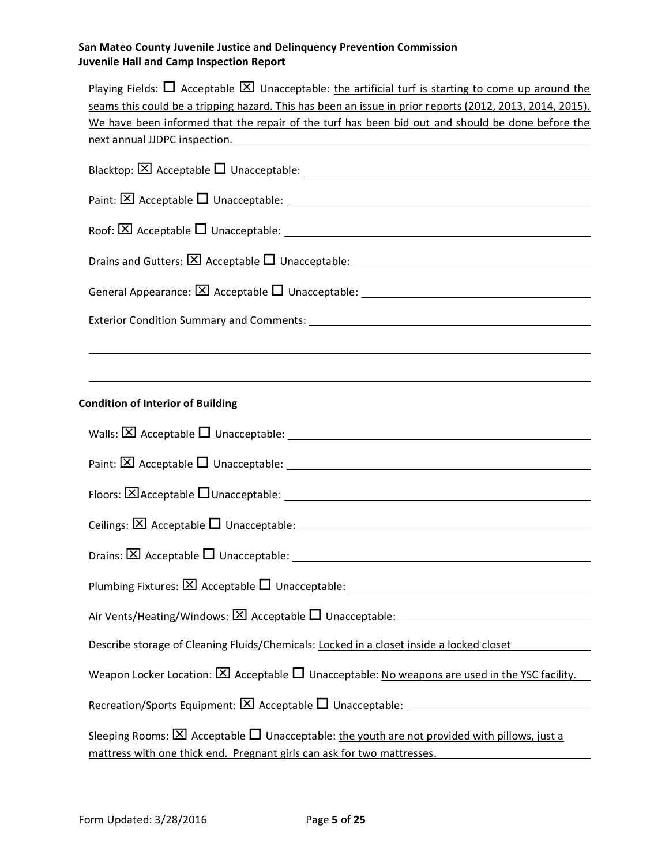| Playing Fields: $\Box$ Acceptable $\boxtimes$ Unacceptable: the artificial turf is starting to come up around the                 |
|-----------------------------------------------------------------------------------------------------------------------------------|
| seams this could be a tripping hazard. This has been an issue in prior reports (2012, 2013, 2014, 2015).                          |
| We have been informed that the repair of the turf has been bid out and should be done before the<br>next annual JJDPC inspection. |
|                                                                                                                                   |
|                                                                                                                                   |
|                                                                                                                                   |
|                                                                                                                                   |
|                                                                                                                                   |
|                                                                                                                                   |
|                                                                                                                                   |
|                                                                                                                                   |
|                                                                                                                                   |
| <b>Condition of Interior of Building</b>                                                                                          |
|                                                                                                                                   |
|                                                                                                                                   |
|                                                                                                                                   |
|                                                                                                                                   |
|                                                                                                                                   |
|                                                                                                                                   |
| Air Vents/Heating/Windows: $\boxtimes$ Acceptable $\square$ Unacceptable:                                                         |
| Describe storage of Cleaning Fluids/Chemicals: Locked in a closet inside a locked closet                                          |
| Weapon Locker Location: $\boxtimes$ Acceptable $\Box$ Unacceptable: No weapons are used in the YSC facility.                      |
|                                                                                                                                   |
| Sleeping Rooms: $\boxtimes$ Acceptable $\Box$ Unacceptable: the youth are not provided with pillows, just a                       |
| mattress with one thick end. Pregnant girls can ask for two mattresses.                                                           |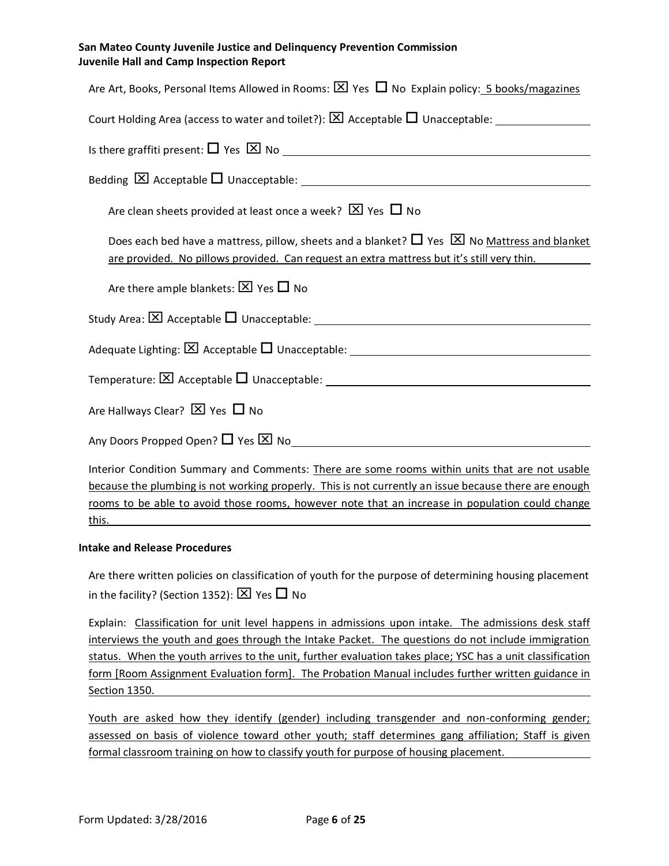| Are Art, Books, Personal Items Allowed in Rooms: $\boxtimes$ Yes $\Box$ No Explain policy: 5 books/magazines                                                                                              |
|-----------------------------------------------------------------------------------------------------------------------------------------------------------------------------------------------------------|
|                                                                                                                                                                                                           |
|                                                                                                                                                                                                           |
|                                                                                                                                                                                                           |
| Are clean sheets provided at least once a week? $[2]$ Yes $\Box$ No                                                                                                                                       |
| Does each bed have a mattress, pillow, sheets and a blanket? $\Box$ Yes $\boxtimes$ No Mattress and blanket<br>are provided. No pillows provided. Can request an extra mattress but it's still very thin. |
| Are there ample blankets: $\boxtimes$ Yes $\Box$ No                                                                                                                                                       |
|                                                                                                                                                                                                           |
|                                                                                                                                                                                                           |
|                                                                                                                                                                                                           |
| Are Hallways Clear? $\boxtimes$ Yes $\Box$ No                                                                                                                                                             |
|                                                                                                                                                                                                           |
| Interior Condition Summary and Comments: There are some rooms within units that are not usable                                                                                                            |
| because the plumbing is not working properly. This is not currently an issue because there are enough                                                                                                     |

rooms to be able to avoid those rooms, however note that an increase in population could change this.

#### **Intake and Release Procedures**

Are there written policies on classification of youth for the purpose of determining housing placement in the facility? (Section 1352):  $\boxtimes$  Yes  $\Box$  No

Explain: Classification for unit level happens in admissions upon intake. The admissions desk staff interviews the youth and goes through the Intake Packet. The questions do not include immigration status. When the youth arrives to the unit, further evaluation takes place; YSC has a unit classification form [Room Assignment Evaluation form]. The Probation Manual includes further written guidance in Section 1350.

Youth are asked how they identify (gender) including transgender and non-conforming gender; assessed on basis of violence toward other youth; staff determines gang affiliation; Staff is given formal classroom training on how to classify youth for purpose of housing placement.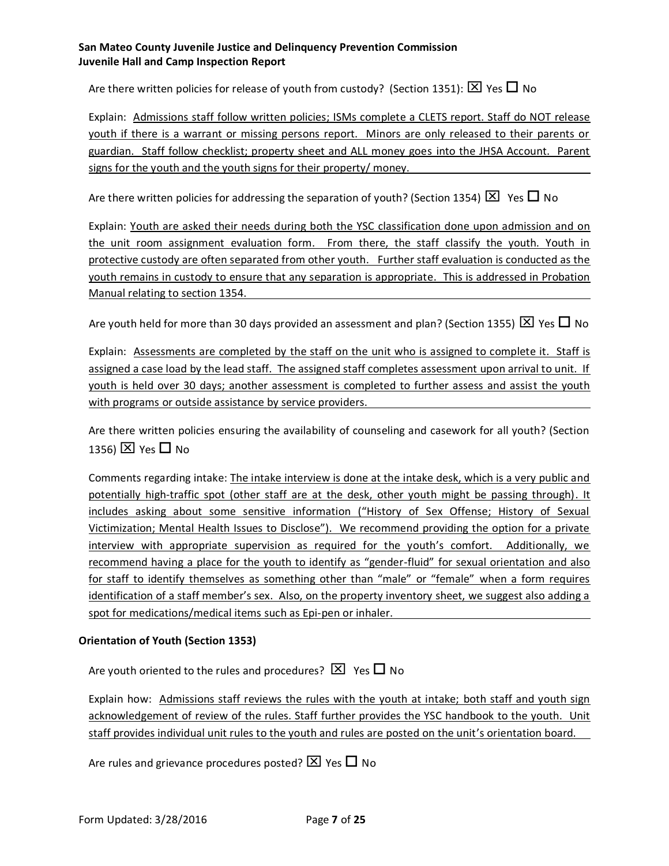Are there written policies for release of youth from custody? (Section 1351):  $\boxtimes$  Yes  $\Box$  No

Explain: Admissions staff follow written policies; ISMs complete a CLETS report. Staff do NOT release youth if there is a warrant or missing persons report. Minors are only released to their parents or guardian. Staff follow checklist; property sheet and ALL money goes into the JHSA Account. Parent signs for the youth and the youth signs for their property/ money.

Are there written policies for addressing the separation of youth? (Section 1354)  $\boxtimes$  Yes  $\Box$  No

Explain: Youth are asked their needs during both the YSC classification done upon admission and on the unit room assignment evaluation form. From there, the staff classify the youth. Youth in protective custody are often separated from other youth. Further staff evaluation is conducted as the youth remains in custody to ensure that any separation is appropriate. This is addressed in Probation Manual relating to section 1354.

Are youth held for more than 30 days provided an assessment and plan? (Section 1355)  $\boxtimes$  Yes  $\Box$  No

Explain: Assessments are completed by the staff on the unit who is assigned to complete it. Staff is assigned a case load by the lead staff. The assigned staff completes assessment upon arrival to unit. If youth is held over 30 days; another assessment is completed to further assess and assist the youth with programs or outside assistance by service providers.

Are there written policies ensuring the availability of counseling and casework for all youth? (Section 1356)  $\times$  Yes  $\Box$  No

Comments regarding intake: The intake interview is done at the intake desk, which is a very public and potentially high-traffic spot (other staff are at the desk, other youth might be passing through). It includes asking about some sensitive information ("History of Sex Offense; History of Sexual Victimization; Mental Health Issues to Disclose"). We recommend providing the option for a private interview with appropriate supervision as required for the youth's comfort. Additionally, we recommend having a place for the youth to identify as "gender-fluid" for sexual orientation and also for staff to identify themselves as something other than "male" or "female" when a form requires identification of a staff member's sex. Also, on the property inventory sheet, we suggest also adding a spot for medications/medical items such as Epi-pen or inhaler.

#### **Orientation of Youth (Section 1353)**

Are youth oriented to the rules and procedures?  $\boxtimes$  Yes  $\Box$  No

Explain how: Admissions staff reviews the rules with the youth at intake; both staff and youth sign acknowledgement of review of the rules. Staff further provides the YSC handbook to the youth. Unit staff provides individual unit rules to the youth and rules are posted on the unit's orientation board.

Are rules and grievance procedures posted?  $\times$  Yes  $\Box$  No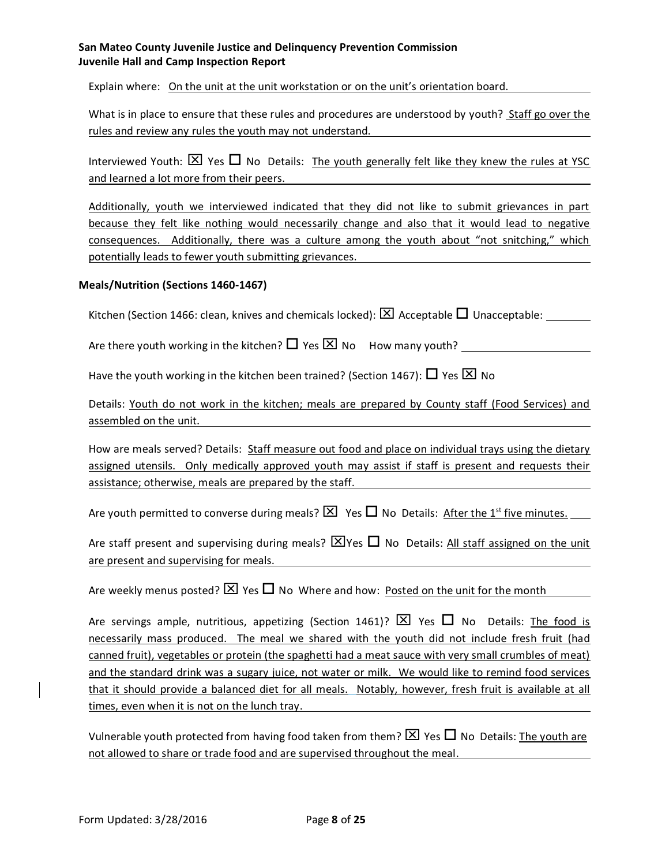Explain where: On the unit at the unit workstation or on the unit's orientation board.

What is in place to ensure that these rules and procedures are understood by youth? Staff go over the rules and review any rules the youth may not understand.

Interviewed Youth:  $\boxtimes$  Yes  $\Box$  No Details: The youth generally felt like they knew the rules at YSC and learned a lot more from their peers.

Additionally, youth we interviewed indicated that they did not like to submit grievances in part because they felt like nothing would necessarily change and also that it would lead to negative consequences. Additionally, there was a culture among the youth about "not snitching," which potentially leads to fewer youth submitting grievances.

#### **Meals/Nutrition (Sections 1460-1467)**

Kitchen (Section 1466: clean, knives and chemicals locked):  $\boxtimes$  Acceptable  $\Box$  Unacceptable: \_\_\_\_\_\_\_

Are there youth working in the kitchen? Yes No How many youth?

Have the youth working in the kitchen been trained? (Section 1467):  $\Box$  Yes  $\boxtimes$  No

Details: Youth do not work in the kitchen; meals are prepared by County staff (Food Services) and assembled on the unit.

How are meals served? Details: Staff measure out food and place on individual trays using the dietary assigned utensils. Only medically approved youth may assist if staff is present and requests their assistance; otherwise, meals are prepared by the staff.

Are youth permitted to converse during meals?  $\boxtimes$  Yes  $\Box$  No Details: After the 1<sup>st</sup> five minutes.

Are staff present and supervising during meals?  $\boxtimes$  Yes  $\Box$  No Details: All staff assigned on the unit are present and supervising for meals.

Are weekly menus posted?  $\boxtimes$  Yes  $\Box$  No Where and how: Posted on the unit for the month

Are servings ample, nutritious, appetizing (Section 1461)?  $\boxtimes$  Yes  $\Box$  No Details: The food is necessarily mass produced. The meal we shared with the youth did not include fresh fruit (had canned fruit), vegetables or protein (the spaghetti had a meat sauce with very small crumbles of meat) and the standard drink was a sugary juice, not water or milk. We would like to remind food services that it should provide a balanced diet for all meals. Notably, however, fresh fruit is available at all times, even when it is not on the lunch tray.

Vulnerable youth protected from having food taken from them?  $\times$  Yes  $\Box$  No Details: The youth are not allowed to share or trade food and are supervised throughout the meal.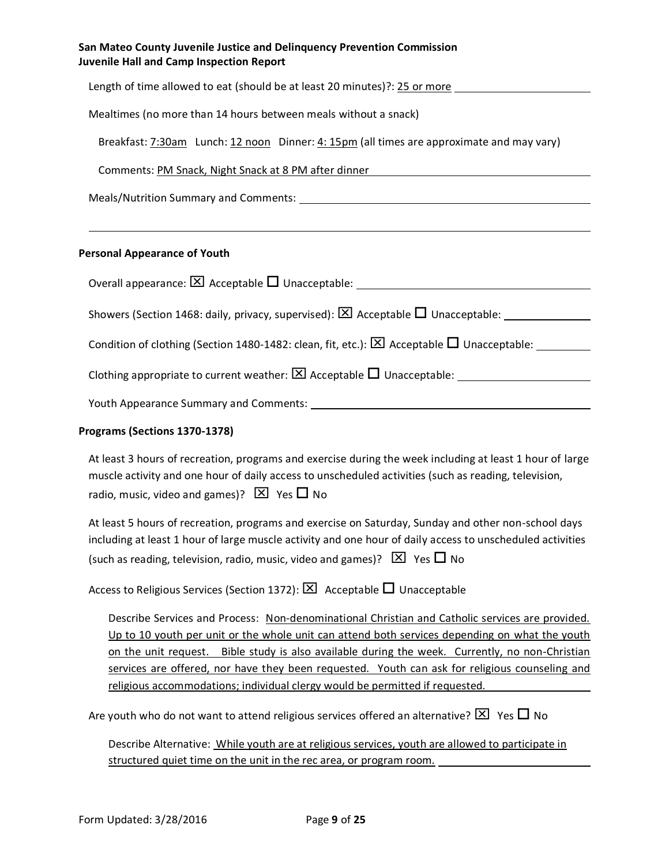| San Mateo County Juvenile Justice and Delinguency Prevention Commission |
|-------------------------------------------------------------------------|
| <b>Juvenile Hall and Camp Inspection Report</b>                         |

| Length of time allowed to eat (should be at least 20 minutes)?: 25 or more                                                   |
|------------------------------------------------------------------------------------------------------------------------------|
| Mealtimes (no more than 14 hours between meals without a snack)                                                              |
| Breakfast: 7:30am Lunch: 12 noon Dinner: 4: 15pm (all times are approximate and may vary)                                    |
| Comments: PM Snack, Night Snack at 8 PM after dinner New York Comments: New York Community                                   |
|                                                                                                                              |
|                                                                                                                              |
| <b>Personal Appearance of Youth</b>                                                                                          |
| Overall appearance: $[\overline{X}]$ Acceptable $\Box$ Unacceptable: $\Box$                                                  |
| Showers (Section 1468: daily, privacy, supervised): $\boxtimes$ Acceptable $\square$ Unacceptable:                           |
| Condition of clothing (Section 1480-1482: clean, fit, etc.): $\boxed{\times}$ Acceptable $\boxed{\phantom{a}}$ Unacceptable: |
|                                                                                                                              |
| Youth Appearance Summary and Comments:                                                                                       |

#### **Programs (Sections 1370-1378)**

| At least 3 hours of recreation, programs and exercise during the week including at least 1 hour of large |
|----------------------------------------------------------------------------------------------------------|
| muscle activity and one hour of daily access to unscheduled activities (such as reading, television,     |
| radio, music, video and games)? $\boxed{\times}$ Yes $\boxed{\phantom{1}}$ No                            |

At least 5 hours of recreation, programs and exercise on Saturday, Sunday and other non-school days including at least 1 hour of large muscle activity and one hour of daily access to unscheduled activities (such as reading, television, radio, music, video and games)?  $\boxtimes$  Yes  $\Box$  No

Access to Religious Services (Section 1372):  $\boxtimes$  Acceptable  $\Box$  Unacceptable

Describe Services and Process: Non-denominational Christian and Catholic services are provided. Up to 10 youth per unit or the whole unit can attend both services depending on what the youth on the unit request. Bible study is also available during the week. Currently, no non-Christian services are offered, nor have they been requested. Youth can ask for religious counseling and religious accommodations; individual clergy would be permitted if requested.

Are youth who do not want to attend religious services offered an alternative?  $\boxtimes$  Yes  $\Box$  No

Describe Alternative: While youth are at religious services, youth are allowed to participate in structured quiet time on the unit in the rec area, or program room.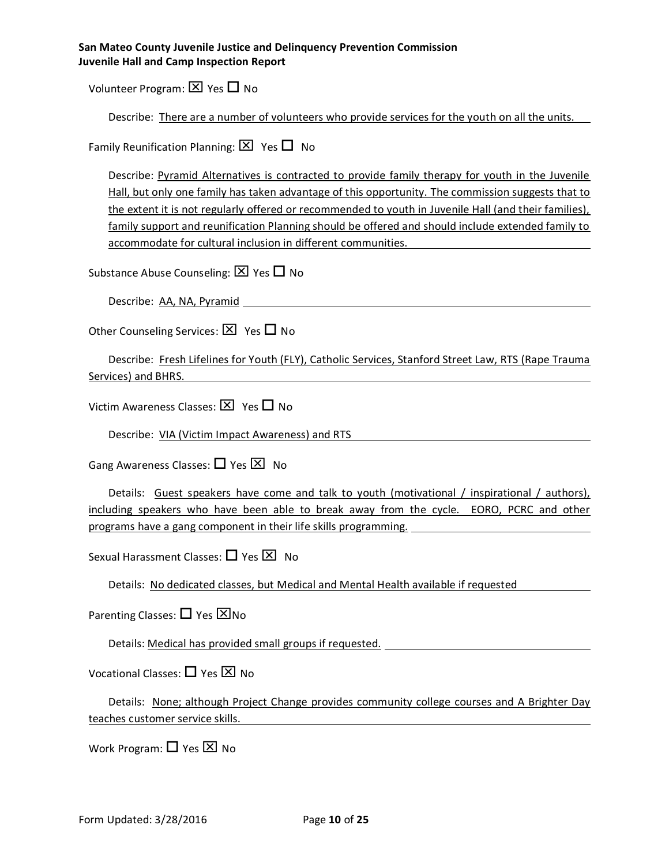Volunteer Program:  $\times$  Yes  $\Box$  No

| Describe: There are a number of volunteers who provide services for the youth on all the units. |  |  |  |  |  |
|-------------------------------------------------------------------------------------------------|--|--|--|--|--|
|-------------------------------------------------------------------------------------------------|--|--|--|--|--|

Family Reunification Planning:  $\boxtimes$  Yes  $\Box$  No

Describe: Pyramid Alternatives is contracted to provide family therapy for youth in the Juvenile Hall, but only one family has taken advantage of this opportunity. The commission suggests that to the extent it is not regularly offered or recommended to youth in Juvenile Hall (and their families), family support and reunification Planning should be offered and should include extended family to accommodate for cultural inclusion in different communities.

Substance Abuse Counseling:  $\boxtimes$  Yes  $\Box$  No

Describe: AA, NA, Pyramid

Other Counseling Services:  $\boxtimes$  Yes  $\Box$  No

Describe: Fresh Lifelines for Youth (FLY), Catholic Services, Stanford Street Law, RTS (Rape Trauma Services) and BHRS.

Victim Awareness Classes:  $\boxtimes$  Yes  $\Box$  No

Describe: VIA (Victim Impact Awareness) and RTS

Gang Awareness Classes:  $\Box$  Yes  $\boxtimes$  No

Details: Guest speakers have come and talk to youth (motivational / inspirational / authors), including speakers who have been able to break away from the cycle. EORO, PCRC and other programs have a gang component in their life skills programming.

Sexual Harassment Classes:  $\Box$  Yes  $\boxtimes$  No

Details: No dedicated classes, but Medical and Mental Health available if requested

Parenting Classes:  $\Box$  Yes  $\boxtimes$  No

Details: Medical has provided small groups if requested.

Vocational Classes:  $\Box$  Yes  $\boxtimes$  No

Details: None; although Project Change provides community college courses and A Brighter Day teaches customer service skills.

Work Program:  $\Box$  Yes  $\boxtimes$  No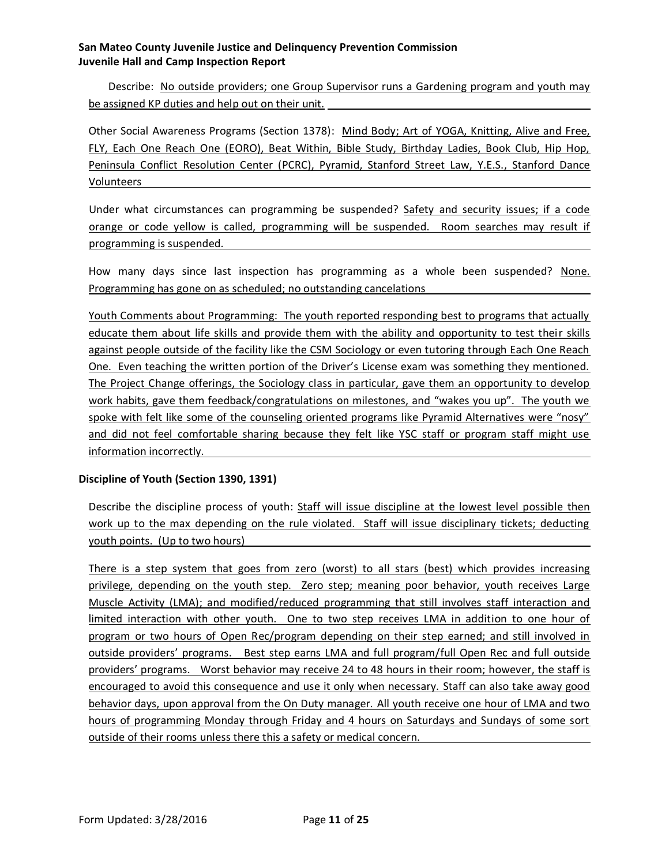Describe: No outside providers; one Group Supervisor runs a Gardening program and youth may be assigned KP duties and help out on their unit.

Other Social Awareness Programs (Section 1378): Mind Body; Art of YOGA, Knitting, Alive and Free, FLY, Each One Reach One (EORO), Beat Within, Bible Study, Birthday Ladies, Book Club, Hip Hop, Peninsula Conflict Resolution Center (PCRC), Pyramid, Stanford Street Law, Y.E.S., Stanford Dance Volunteers

Under what circumstances can programming be suspended? Safety and security issues; if a code orange or code yellow is called, programming will be suspended. Room searches may result if programming is suspended.

How many days since last inspection has programming as a whole been suspended? None. Programming has gone on as scheduled; no outstanding cancelations

Youth Comments about Programming: The youth reported responding best to programs that actually educate them about life skills and provide them with the ability and opportunity to test their skills against people outside of the facility like the CSM Sociology or even tutoring through Each One Reach One. Even teaching the written portion of the Driver's License exam was something they mentioned. The Project Change offerings, the Sociology class in particular, gave them an opportunity to develop work habits, gave them feedback/congratulations on milestones, and "wakes you up". The youth we spoke with felt like some of the counseling oriented programs like Pyramid Alternatives were "nosy" and did not feel comfortable sharing because they felt like YSC staff or program staff might use information incorrectly.

#### **Discipline of Youth (Section 1390, 1391)**

Describe the discipline process of youth: Staff will issue discipline at the lowest level possible then work up to the max depending on the rule violated. Staff will issue disciplinary tickets; deducting youth points. (Up to two hours)

There is a step system that goes from zero (worst) to all stars (best) which provides increasing privilege, depending on the youth step. Zero step; meaning poor behavior, youth receives Large Muscle Activity (LMA); and modified/reduced programming that still involves staff interaction and limited interaction with other youth. One to two step receives LMA in addition to one hour of program or two hours of Open Rec/program depending on their step earned; and still involved in outside providers' programs. Best step earns LMA and full program/full Open Rec and full outside providers' programs. Worst behavior may receive 24 to 48 hours in their room; however, the staff is encouraged to avoid this consequence and use it only when necessary. Staff can also take away good behavior days, upon approval from the On Duty manager. All youth receive one hour of LMA and two hours of programming Monday through Friday and 4 hours on Saturdays and Sundays of some sort outside of their rooms unless there this a safety or medical concern.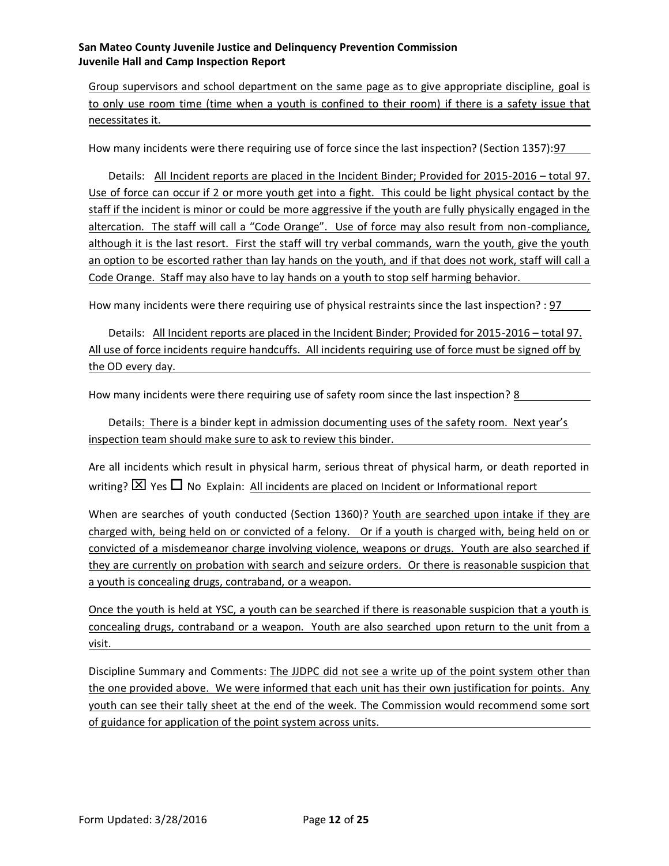Group supervisors and school department on the same page as to give appropriate discipline, goal is to only use room time (time when a youth is confined to their room) if there is a safety issue that necessitates it.

How many incidents were there requiring use of force since the last inspection? (Section 1357):97

Details: All Incident reports are placed in the Incident Binder; Provided for 2015-2016 – total 97. Use of force can occur if 2 or more youth get into a fight. This could be light physical contact by the staff if the incident is minor or could be more aggressive if the youth are fully physically engaged in the altercation. The staff will call a "Code Orange". Use of force may also result from non-compliance, although it is the last resort. First the staff will try verbal commands, warn the youth, give the youth an option to be escorted rather than lay hands on the youth, and if that does not work, staff will call a Code Orange. Staff may also have to lay hands on a youth to stop self harming behavior.

How many incidents were there requiring use of physical restraints since the last inspection? : 97

Details: All Incident reports are placed in the Incident Binder; Provided for 2015-2016 – total 97. All use of force incidents require handcuffs. All incidents requiring use of force must be signed off by the OD every day.

How many incidents were there requiring use of safety room since the last inspection? 8

Details: There is a binder kept in admission documenting uses of the safety room. Next year's inspection team should make sure to ask to review this binder.

Are all incidents which result in physical harm, serious threat of physical harm, or death reported in writing?  $\boxtimes$  Yes  $\Box$  No Explain: All incidents are placed on Incident or Informational report

When are searches of youth conducted (Section 1360)? Youth are searched upon intake if they are charged with, being held on or convicted of a felony. Or if a youth is charged with, being held on or convicted of a misdemeanor charge involving violence, weapons or drugs. Youth are also searched if they are currently on probation with search and seizure orders. Or there is reasonable suspicion that a youth is concealing drugs, contraband, or a weapon.

Once the youth is held at YSC, a youth can be searched if there is reasonable suspicion that a youth is concealing drugs, contraband or a weapon. Youth are also searched upon return to the unit from a visit.

Discipline Summary and Comments: The JJDPC did not see a write up of the point system other than the one provided above. We were informed that each unit has their own justification for points. Any youth can see their tally sheet at the end of the week. The Commission would recommend some sort of guidance for application of the point system across units.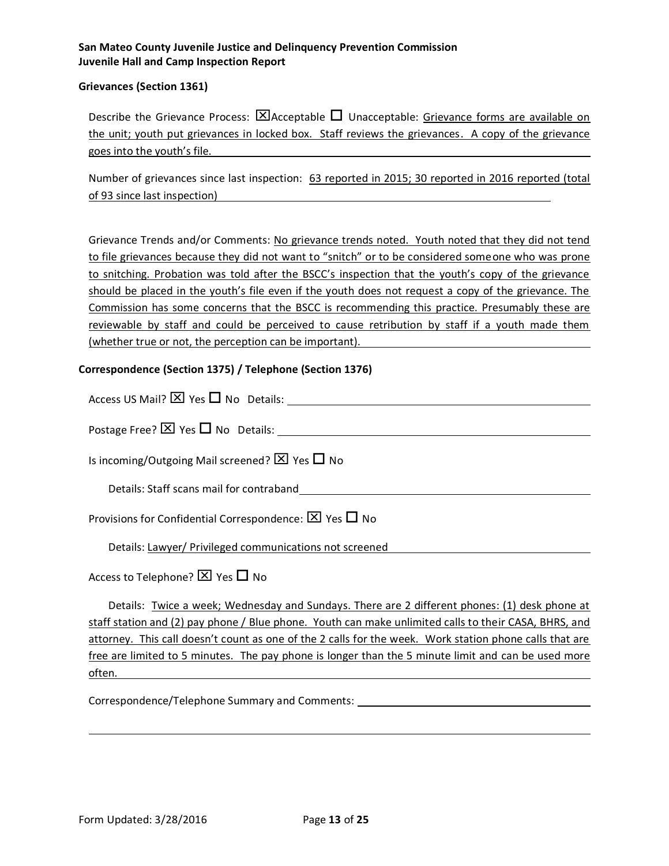#### **Grievances (Section 1361)**

Describe the Grievance Process:  $\boxtimes$ Acceptable  $\Box$  Unacceptable: Grievance forms are available on the unit; youth put grievances in locked box. Staff reviews the grievances. A copy of the grievance goes into the youth's file.

Number of grievances since last inspection: 63 reported in 2015; 30 reported in 2016 reported (total of 93 since last inspection)

Grievance Trends and/or Comments: No grievance trends noted. Youth noted that they did not tend to file grievances because they did not want to "snitch" or to be considered someone who was prone to snitching. Probation was told after the BSCC's inspection that the youth's copy of the grievance should be placed in the youth's file even if the youth does not request a copy of the grievance. The Commission has some concerns that the BSCC is recommending this practice. Presumably these are reviewable by staff and could be perceived to cause retribution by staff if a youth made them (whether true or not, the perception can be important).

#### **Correspondence (Section 1375) / Telephone (Section 1376)**

| Access US Mail? $[X]$ Yes $\Box$ No Details:                               |
|----------------------------------------------------------------------------|
| Postage Free? $\boxtimes$ Yes $\Box$ No Details:                           |
| Is incoming/Outgoing Mail screened? $\boxtimes$ Yes $\Box$ No              |
| Details: Staff scans mail for contraband                                   |
| Provisions for Confidential Correspondence: $[\overline{X}]$ Yes $\Box$ No |
| Details: Lawyer/ Privileged communications not screened                    |
| Access to Telephone? $\boxtimes$ Yes $\Box$ No                             |

Details: Twice a week; Wednesday and Sundays. There are 2 different phones: (1) desk phone at staff station and (2) pay phone / Blue phone. Youth can make unlimited calls to their CASA, BHRS, and attorney. This call doesn't count as one of the 2 calls for the week. Work station phone calls that are free are limited to 5 minutes. The pay phone is longer than the 5 minute limit and can be used more often.

Correspondence/Telephone Summary and Comments: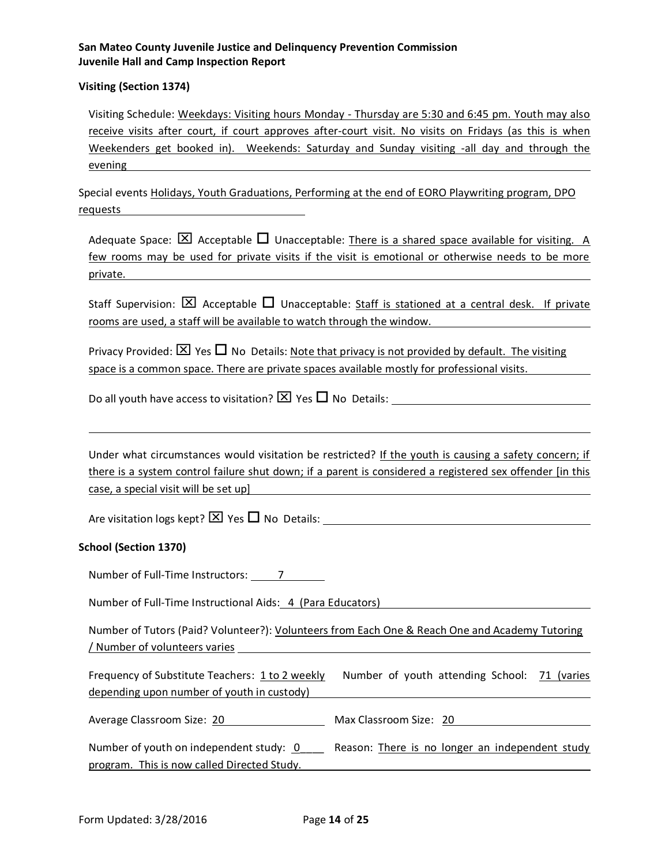#### **Visiting (Section 1374)**

Visiting Schedule: Weekdays: Visiting hours Monday - Thursday are 5:30 and 6:45 pm. Youth may also receive visits after court, if court approves after-court visit. No visits on Fridays (as this is when Weekenders get booked in). Weekends: Saturday and Sunday visiting -all day and through the evening **evening evening** 

Special events Holidays, Youth Graduations, Performing at the end of EORO Playwriting program, DPO requests

Adequate Space:  $\boxtimes$  Acceptable  $\Box$  Unacceptable: There is a shared space available for visiting. A few rooms may be used for private visits if the visit is emotional or otherwise needs to be more private.

Staff Supervision:  $\boxtimes$  Acceptable  $\Box$  Unacceptable: Staff is stationed at a central desk. If private rooms are used, a staff will be available to watch through the window.

Privacy Provided:  $\boxtimes$  Yes  $\Box$  No Details: Note that privacy is not provided by default. The visiting space is a common space. There are private spaces available mostly for professional visits.

Do all youth have access to visitation?  $\boxtimes$  Yes  $\Box$  No Details:  $\Box$ 

Under what circumstances would visitation be restricted? If the youth is causing a safety concern; if there is a system control failure shut down; if a parent is considered a registered sex offender [in this case, a special visit will be set up]

Are visitation logs kept?  $\boxtimes$  Yes  $\Box$  No Details:

#### **School (Section 1370)**

Number of Full-Time Instructors: 7 7

Number of Full-Time Instructional Aids: 4 (Para Educators)

Number of Tutors (Paid? Volunteer?): Volunteers from Each One & Reach One and Academy Tutoring / Number of volunteers varies

Frequency of Substitute Teachers: 1 to 2 weekly Number of youth attending School: 71 (varies depending upon number of youth in custody)

Average Classroom Size: 20 Max Classroom Size: 20

| Number of youth on independent study: 0     |  |  | Reason: There is no longer an independent study |  |
|---------------------------------------------|--|--|-------------------------------------------------|--|
| program. This is now called Directed Study. |  |  |                                                 |  |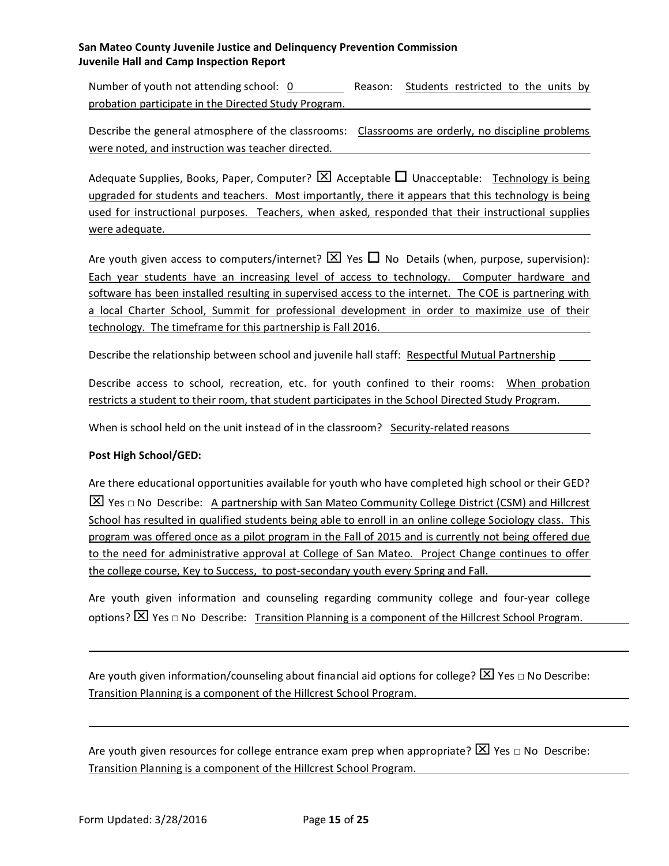Number of youth not attending school:  $0$  Reason: Students restricted to the units by probation participate in the Directed Study Program.

Describe the general atmosphere of the classrooms: Classrooms are orderly, no discipline problems were noted, and instruction was teacher directed.

Adequate Supplies, Books, Paper, Computer?  $\boxtimes$  Acceptable  $\Box$  Unacceptable: Technology is being upgraded for students and teachers. Most importantly, there it appears that this technology is being used for instructional purposes. Teachers, when asked, responded that their instructional supplies were adequate.

Are youth given access to computers/internet?  $\times$  Yes  $\Box$  No Details (when, purpose, supervision): Each year students have an increasing level of access to technology. Computer hardware and software has been installed resulting in supervised access to the internet. The COE is partnering with a local Charter School, Summit for professional development in order to maximize use of their technology. The timeframe for this partnership is Fall 2016.

Describe the relationship between school and juvenile hall staff: Respectful Mutual Partnership

Describe access to school, recreation, etc. for youth confined to their rooms: When probation restricts a student to their room, that student participates in the School Directed Study Program.

When is school held on the unit instead of in the classroom? Security-related reasons

#### **Post High School/GED:**

Are there educational opportunities available for youth who have completed high school or their GED?  $\boxed{\times}$  Yes  $\Box$  No Describe: A partnership with San Mateo Community College District (CSM) and Hillcrest School has resulted in qualified students being able to enroll in an online college Sociology class. This program was offered once as a pilot program in the Fall of 2015 and is currently not being offered due to the need for administrative approval at College of San Mateo. Project Change continues to offer the college course, Key to Success, to post-secondary youth every Spring and Fall.

Are youth given information and counseling regarding community college and four-year college options?  $\boxtimes$  Yes  $\Box$  No Describe: Transition Planning is a component of the Hillcrest School Program.

Are youth given information/counseling about financial aid options for college?  $\boxtimes$  Yes  $\Box$  No Describe: Transition Planning is a component of the Hillcrest School Program.

Are youth given resources for college entrance exam prep when appropriate?  $\boxed{\times}$  Yes  $\Box$  No Describe: Transition Planning is a component of the Hillcrest School Program.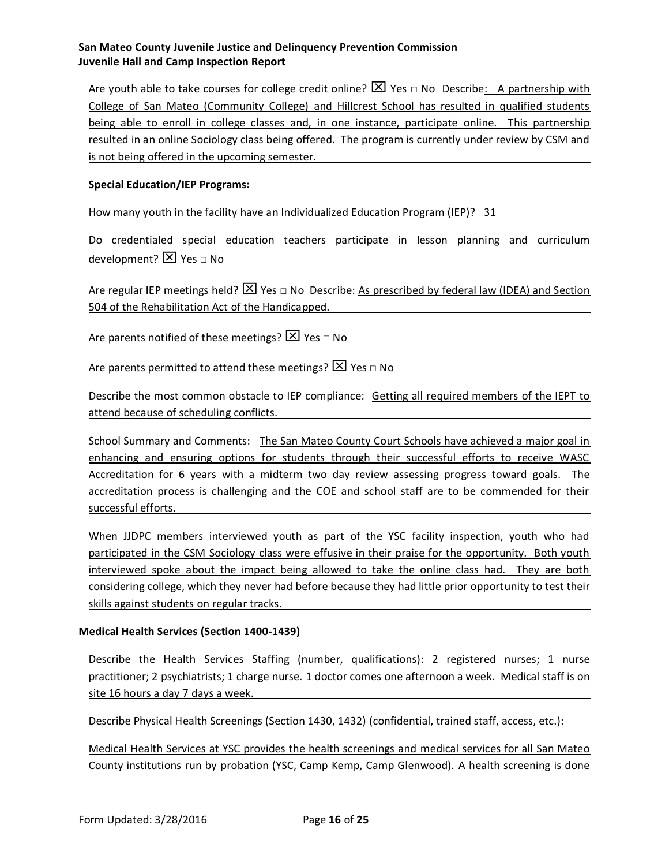Are youth able to take courses for college credit online?  $\boxed{\times}$  Yes  $\Box$  No Describe: A partnership with College of San Mateo (Community College) and Hillcrest School has resulted in qualified students being able to enroll in college classes and, in one instance, participate online. This partnership resulted in an online Sociology class being offered. The program is currently under review by CSM and is not being offered in the upcoming semester.

#### **Special Education/IEP Programs:**

How many youth in the facility have an Individualized Education Program (IEP)? 31

Do credentialed special education teachers participate in lesson planning and curriculum development?  $\boxed{\times}$  Yes  $\Box$  No

Are regular IEP meetings held?  $\boxed{\times}$  Yes  $\boxed{\circ}$  No Describe: As prescribed by federal law (IDEA) and Section 504 of the Rehabilitation Act of the Handicapped.

Are parents notified of these meetings?  $\boxed{\times}$  Yes  $\boxed{\circ}$  No

Are parents permitted to attend these meetings?  $\boxtimes$  Yes  $\Box$  No

Describe the most common obstacle to IEP compliance: Getting all required members of the IEPT to attend because of scheduling conflicts.

School Summary and Comments: The San Mateo County Court Schools have achieved a major goal in enhancing and ensuring options for students through their successful efforts to receive WASC Accreditation for 6 years with a midterm two day review assessing progress toward goals. The accreditation process is challenging and the COE and school staff are to be commended for their successful efforts.

When JJDPC members interviewed youth as part of the YSC facility inspection, youth who had participated in the CSM Sociology class were effusive in their praise for the opportunity. Both youth interviewed spoke about the impact being allowed to take the online class had. They are both considering college, which they never had before because they had little prior opportunity to test their skills against students on regular tracks.

#### **Medical Health Services (Section 1400-1439)**

Describe the Health Services Staffing (number, qualifications): 2 registered nurses; 1 nurse practitioner; 2 psychiatrists; 1 charge nurse. 1 doctor comes one afternoon a week. Medical staff is on site 16 hours a day 7 days a week.

Describe Physical Health Screenings (Section 1430, 1432) (confidential, trained staff, access, etc.):

Medical Health Services at YSC provides the health screenings and medical services for all San Mateo County institutions run by probation (YSC, Camp Kemp, Camp Glenwood). A health screening is done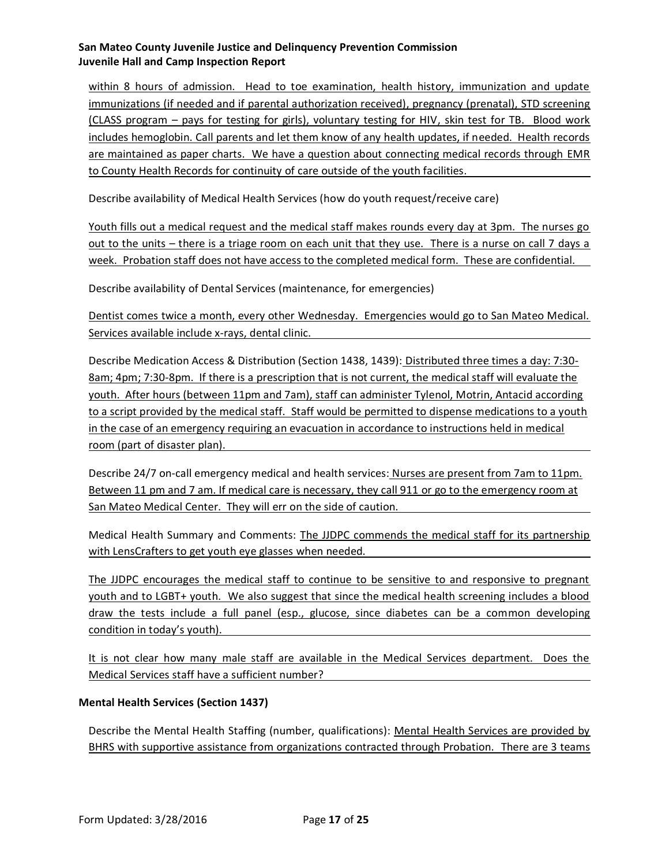within 8 hours of admission. Head to toe examination, health history, immunization and update immunizations (if needed and if parental authorization received), pregnancy (prenatal), STD screening (CLASS program – pays for testing for girls), voluntary testing for HIV, skin test for TB. Blood work includes hemoglobin. Call parents and let them know of any health updates, if needed. Health records are maintained as paper charts. We have a question about connecting medical records through EMR to County Health Records for continuity of care outside of the youth facilities.

Describe availability of Medical Health Services (how do youth request/receive care)

Youth fills out a medical request and the medical staff makes rounds every day at 3pm. The nurses go out to the units - there is a triage room on each unit that they use. There is a nurse on call 7 days a week. Probation staff does not have access to the completed medical form. These are confidential.

Describe availability of Dental Services (maintenance, for emergencies)

Dentist comes twice a month, every other Wednesday. Emergencies would go to San Mateo Medical. Services available include x-rays, dental clinic.

Describe Medication Access & Distribution (Section 1438, 1439): Distributed three times a day: 7:30- 8am; 4pm; 7:30-8pm. If there is a prescription that is not current, the medical staff will evaluate the youth. After hours (between 11pm and 7am), staff can administer Tylenol, Motrin, Antacid according to a script provided by the medical staff. Staff would be permitted to dispense medications to a youth in the case of an emergency requiring an evacuation in accordance to instructions held in medical room (part of disaster plan).

Describe 24/7 on-call emergency medical and health services: Nurses are present from 7am to 11pm. Between 11 pm and 7 am. If medical care is necessary, they call 911 or go to the emergency room at San Mateo Medical Center. They will err on the side of caution.

Medical Health Summary and Comments: The JJDPC commends the medical staff for its partnership with LensCrafters to get youth eye glasses when needed.

The JJDPC encourages the medical staff to continue to be sensitive to and responsive to pregnant youth and to LGBT+ youth. We also suggest that since the medical health screening includes a blood draw the tests include a full panel (esp., glucose, since diabetes can be a common developing condition in today's youth).

It is not clear how many male staff are available in the Medical Services department. Does the Medical Services staff have a sufficient number?

#### **Mental Health Services (Section 1437)**

Describe the Mental Health Staffing (number, qualifications): Mental Health Services are provided by BHRS with supportive assistance from organizations contracted through Probation. There are 3 teams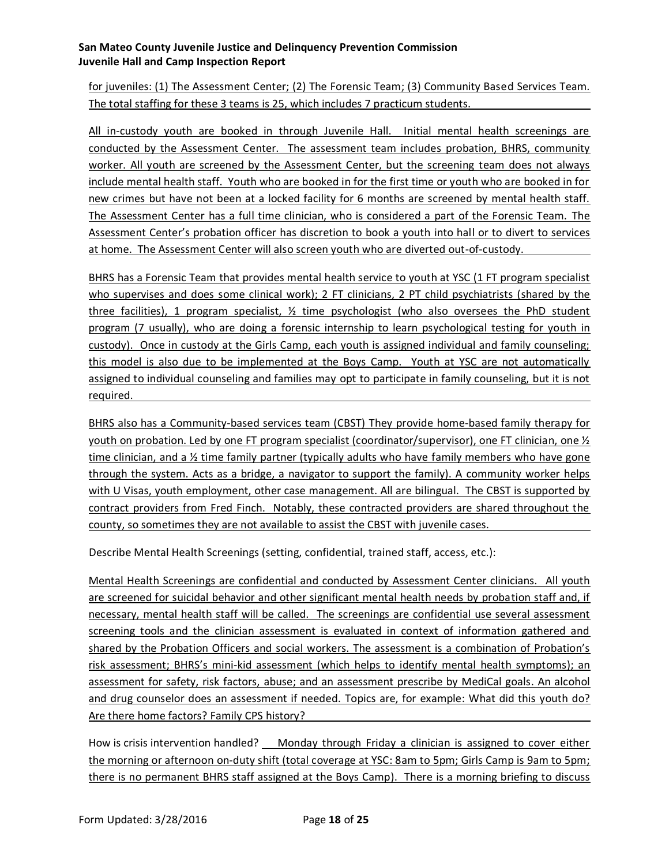for juveniles: (1) The Assessment Center; (2) The Forensic Team; (3) Community Based Services Team. The total staffing for these 3 teams is 25, which includes 7 practicum students.

All in-custody youth are booked in through Juvenile Hall. Initial mental health screenings are conducted by the Assessment Center. The assessment team includes probation, BHRS, community worker. All youth are screened by the Assessment Center, but the screening team does not always include mental health staff. Youth who are booked in for the first time or youth who are booked in for new crimes but have not been at a locked facility for 6 months are screened by mental health staff. The Assessment Center has a full time clinician, who is considered a part of the Forensic Team. The Assessment Center's probation officer has discretion to book a youth into hall or to divert to services at home. The Assessment Center will also screen youth who are diverted out-of-custody.

BHRS has a Forensic Team that provides mental health service to youth at YSC (1 FT program specialist who supervises and does some clinical work); 2 FT clinicians, 2 PT child psychiatrists (shared by the three facilities), 1 program specialist, ½ time psychologist (who also oversees the PhD student program (7 usually), who are doing a forensic internship to learn psychological testing for youth in custody). Once in custody at the Girls Camp, each youth is assigned individual and family counseling; this model is also due to be implemented at the Boys Camp. Youth at YSC are not automatically assigned to individual counseling and families may opt to participate in family counseling, but it is not required.

BHRS also has a Community-based services team (CBST) They provide home-based family therapy for youth on probation. Led by one FT program specialist (coordinator/supervisor), one FT clinician, one ½ time clinician, and a % time family partner (typically adults who have family members who have gone through the system. Acts as a bridge, a navigator to support the family). A community worker helps with U Visas, youth employment, other case management. All are bilingual. The CBST is supported by contract providers from Fred Finch. Notably, these contracted providers are shared throughout the county, so sometimes they are not available to assist the CBST with juvenile cases.

Describe Mental Health Screenings (setting, confidential, trained staff, access, etc.):

Mental Health Screenings are confidential and conducted by Assessment Center clinicians. All youth are screened for suicidal behavior and other significant mental health needs by probation staff and, if necessary, mental health staff will be called. The screenings are confidential use several assessment screening tools and the clinician assessment is evaluated in context of information gathered and shared by the Probation Officers and social workers. The assessment is a combination of Probation's risk assessment; BHRS's mini-kid assessment (which helps to identify mental health symptoms); an assessment for safety, risk factors, abuse; and an assessment prescribe by MediCal goals. An alcohol and drug counselor does an assessment if needed. Topics are, for example: What did this youth do? Are there home factors? Family CPS history?

How is crisis intervention handled? \_ Monday through Friday a clinician is assigned to cover either the morning or afternoon on-duty shift (total coverage at YSC: 8am to 5pm; Girls Camp is 9am to 5pm; there is no permanent BHRS staff assigned at the Boys Camp). There is a morning briefing to discuss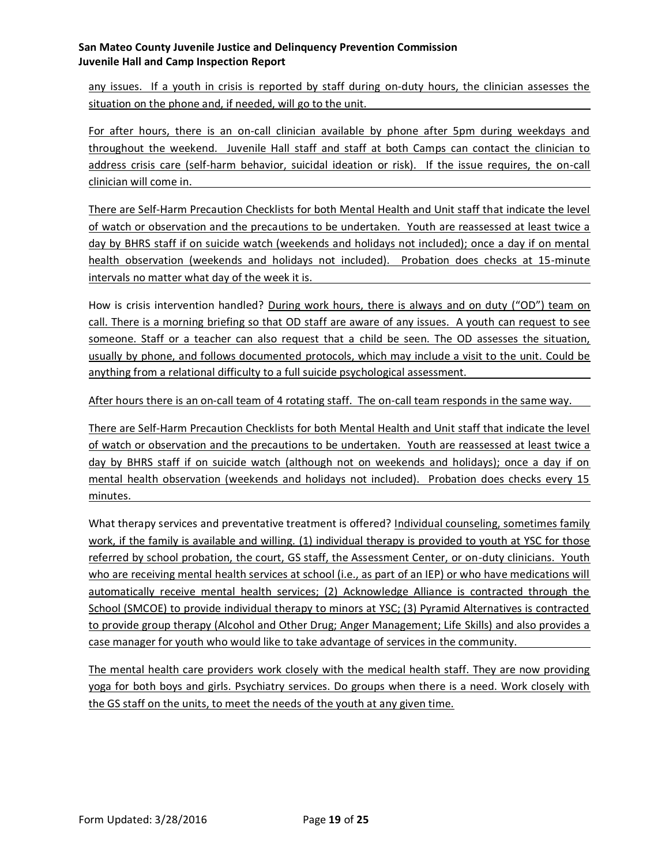any issues. If a youth in crisis is reported by staff during on-duty hours, the clinician assesses the situation on the phone and, if needed, will go to the unit.

For after hours, there is an on-call clinician available by phone after 5pm during weekdays and throughout the weekend. Juvenile Hall staff and staff at both Camps can contact the clinician to address crisis care (self-harm behavior, suicidal ideation or risk). If the issue requires, the on-call clinician will come in.

There are Self-Harm Precaution Checklists for both Mental Health and Unit staff that indicate the level of watch or observation and the precautions to be undertaken. Youth are reassessed at least twice a day by BHRS staff if on suicide watch (weekends and holidays not included); once a day if on mental health observation (weekends and holidays not included). Probation does checks at 15-minute intervals no matter what day of the week it is.

How is crisis intervention handled? During work hours, there is always and on duty ("OD") team on call. There is a morning briefing so that OD staff are aware of any issues. A youth can request to see someone. Staff or a teacher can also request that a child be seen. The OD assesses the situation, usually by phone, and follows documented protocols, which may include a visit to the unit. Could be anything from a relational difficulty to a full suicide psychological assessment.

After hours there is an on-call team of 4 rotating staff. The on-call team responds in the same way.

There are Self-Harm Precaution Checklists for both Mental Health and Unit staff that indicate the level of watch or observation and the precautions to be undertaken. Youth are reassessed at least twice a day by BHRS staff if on suicide watch (although not on weekends and holidays); once a day if on mental health observation (weekends and holidays not included). Probation does checks every 15 minutes.

What therapy services and preventative treatment is offered? Individual counseling, sometimes family work, if the family is available and willing. (1) individual therapy is provided to youth at YSC for those referred by school probation, the court, GS staff, the Assessment Center, or on-duty clinicians. Youth who are receiving mental health services at school (i.e., as part of an IEP) or who have medications will automatically receive mental health services; (2) Acknowledge Alliance is contracted through the School (SMCOE) to provide individual therapy to minors at YSC; (3) Pyramid Alternatives is contracted to provide group therapy (Alcohol and Other Drug; Anger Management; Life Skills) and also provides a case manager for youth who would like to take advantage of services in the community.

The mental health care providers work closely with the medical health staff. They are now providing yoga for both boys and girls. Psychiatry services. Do groups when there is a need. Work closely with the GS staff on the units, to meet the needs of the youth at any given time.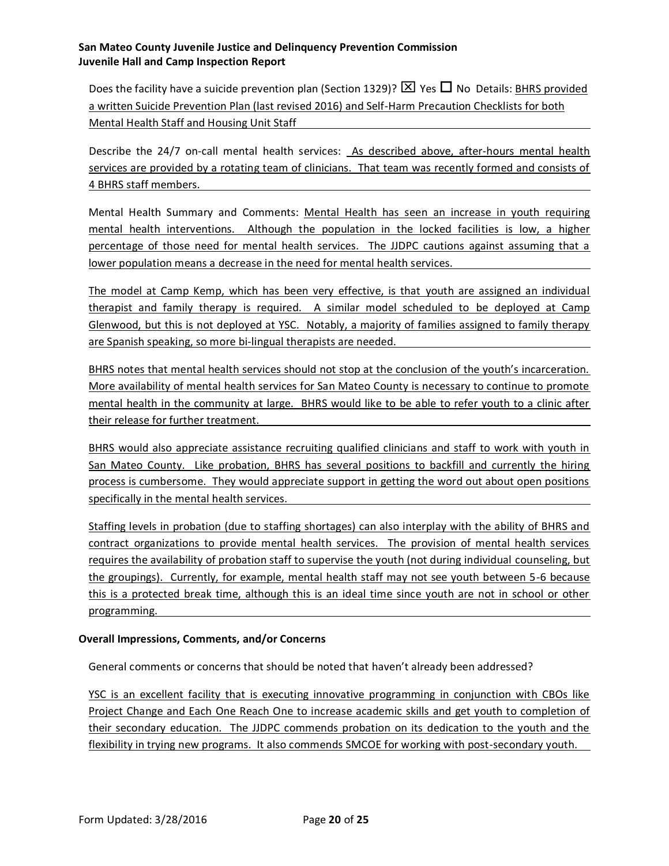Does the facility have a suicide prevention plan (Section 1329)?  $\boxed{\times}$  Yes  $\boxed{\phantom{a}}$  No Details: BHRS provided a written Suicide Prevention Plan (last revised 2016) and Self-Harm Precaution Checklists for both Mental Health Staff and Housing Unit Staff

Describe the 24/7 on-call mental health services: As described above, after-hours mental health services are provided by a rotating team of clinicians. That team was recently formed and consists of 4 BHRS staff members.

Mental Health Summary and Comments: Mental Health has seen an increase in youth requiring mental health interventions. Although the population in the locked facilities is low, a higher percentage of those need for mental health services. The JJDPC cautions against assuming that a lower population means a decrease in the need for mental health services.

The model at Camp Kemp, which has been very effective, is that youth are assigned an individual therapist and family therapy is required. A similar model scheduled to be deployed at Camp Glenwood, but this is not deployed at YSC. Notably, a majority of families assigned to family therapy are Spanish speaking, so more bi-lingual therapists are needed.

BHRS notes that mental health services should not stop at the conclusion of the youth's incarceration. More availability of mental health services for San Mateo County is necessary to continue to promote mental health in the community at large. BHRS would like to be able to refer youth to a clinic after their release for further treatment.

BHRS would also appreciate assistance recruiting qualified clinicians and staff to work with youth in San Mateo County. Like probation, BHRS has several positions to backfill and currently the hiring process is cumbersome. They would appreciate support in getting the word out about open positions specifically in the mental health services.

Staffing levels in probation (due to staffing shortages) can also interplay with the ability of BHRS and contract organizations to provide mental health services. The provision of mental health services requires the availability of probation staff to supervise the youth (not during individual counseling, but the groupings). Currently, for example, mental health staff may not see youth between 5-6 because this is a protected break time, although this is an ideal time since youth are not in school or other programming.

#### **Overall Impressions, Comments, and/or Concerns**

General comments or concerns that should be noted that haven't already been addressed?

YSC is an excellent facility that is executing innovative programming in conjunction with CBOs like Project Change and Each One Reach One to increase academic skills and get youth to completion of their secondary education. The JJDPC commends probation on its dedication to the youth and the flexibility in trying new programs. It also commends SMCOE for working with post-secondary youth.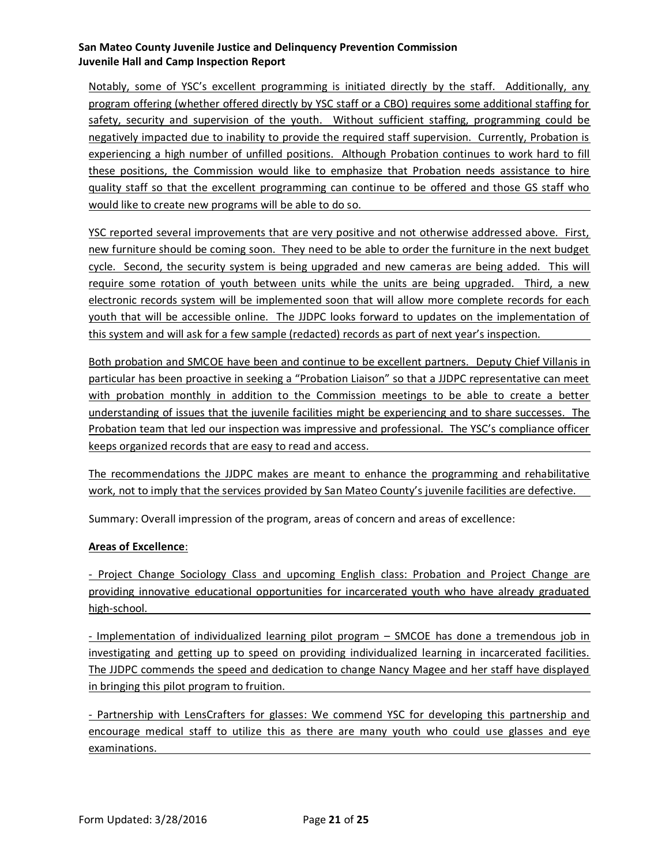Notably, some of YSC's excellent programming is initiated directly by the staff. Additionally, any program offering (whether offered directly by YSC staff or a CBO) requires some additional staffing for safety, security and supervision of the youth. Without sufficient staffing, programming could be negatively impacted due to inability to provide the required staff supervision. Currently, Probation is experiencing a high number of unfilled positions. Although Probation continues to work hard to fill these positions, the Commission would like to emphasize that Probation needs assistance to hire quality staff so that the excellent programming can continue to be offered and those GS staff who would like to create new programs will be able to do so.

YSC reported several improvements that are very positive and not otherwise addressed above. First, new furniture should be coming soon. They need to be able to order the furniture in the next budget cycle. Second, the security system is being upgraded and new cameras are being added. This will require some rotation of youth between units while the units are being upgraded. Third, a new electronic records system will be implemented soon that will allow more complete records for each youth that will be accessible online. The JJDPC looks forward to updates on the implementation of this system and will ask for a few sample (redacted) records as part of next year's inspection.

Both probation and SMCOE have been and continue to be excellent partners. Deputy Chief Villanis in particular has been proactive in seeking a "Probation Liaison" so that a JJDPC representative can meet with probation monthly in addition to the Commission meetings to be able to create a better understanding of issues that the juvenile facilities might be experiencing and to share successes. The Probation team that led our inspection was impressive and professional. The YSC's compliance officer keeps organized records that are easy to read and access.

The recommendations the JJDPC makes are meant to enhance the programming and rehabilitative work, not to imply that the services provided by San Mateo County's juvenile facilities are defective.

Summary: Overall impression of the program, areas of concern and areas of excellence:

#### **Areas of Excellence**:

- Project Change Sociology Class and upcoming English class: Probation and Project Change are providing innovative educational opportunities for incarcerated youth who have already graduated high-school.

- Implementation of individualized learning pilot program – SMCOE has done a tremendous job in investigating and getting up to speed on providing individualized learning in incarcerated facilities. The JJDPC commends the speed and dedication to change Nancy Magee and her staff have displayed in bringing this pilot program to fruition.

- Partnership with LensCrafters for glasses: We commend YSC for developing this partnership and encourage medical staff to utilize this as there are many youth who could use glasses and eye examinations.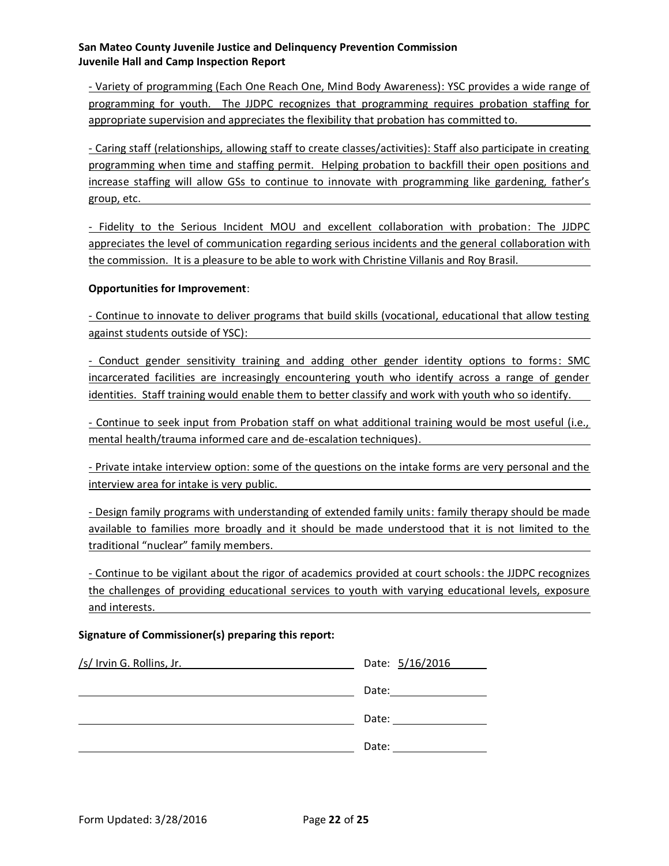- Variety of programming (Each One Reach One, Mind Body Awareness): YSC provides a wide range of programming for youth. The JJDPC recognizes that programming requires probation staffing for appropriate supervision and appreciates the flexibility that probation has committed to.

- Caring staff (relationships, allowing staff to create classes/activities): Staff also participate in creating programming when time and staffing permit. Helping probation to backfill their open positions and increase staffing will allow GSs to continue to innovate with programming like gardening, father's group, etc.

- Fidelity to the Serious Incident MOU and excellent collaboration with probation: The JJDPC appreciates the level of communication regarding serious incidents and the general collaboration with the commission. It is a pleasure to be able to work with Christine Villanis and Roy Brasil.

#### **Opportunities for Improvement**:

- Continue to innovate to deliver programs that build skills (vocational, educational that allow testing against students outside of YSC):

- Conduct gender sensitivity training and adding other gender identity options to forms: SMC incarcerated facilities are increasingly encountering youth who identify across a range of gender identities. Staff training would enable them to better classify and work with youth who so identify.

- Continue to seek input from Probation staff on what additional training would be most useful (i.e., mental health/trauma informed care and de-escalation techniques).

- Private intake interview option: some of the questions on the intake forms are very personal and the interview area for intake is very public.

- Design family programs with understanding of extended family units: family therapy should be made available to families more broadly and it should be made understood that it is not limited to the traditional "nuclear" family members.

- Continue to be vigilant about the rigor of academics provided at court schools: the JJDPC recognizes the challenges of providing educational services to youth with varying educational levels, exposure and interests.

#### **Signature of Commissioner(s) preparing this report:**

| /s/ Irvin G. Rollins, Jr. | Date: 5/16/2016 |
|---------------------------|-----------------|
|                           | Date:           |
|                           | Date:           |
|                           | Date:           |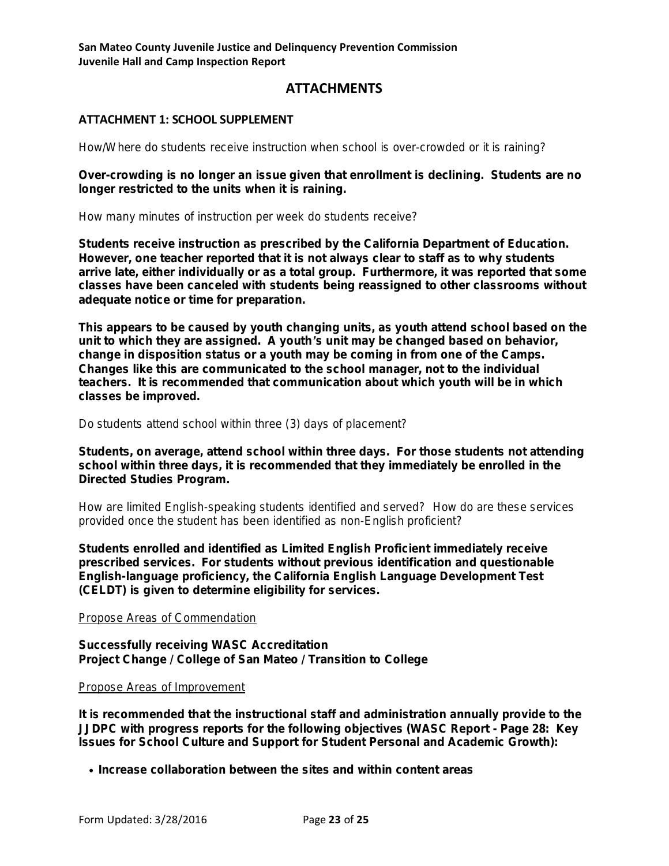# **ATTACHMENTS**

# **ATTACHMENT 1: SCHOOL SUPPLEMENT**

**How/Where do students receive instruction when school is over-crowded or it is raining?** 

*Over-crowding is no longer an issue given that enrollment is declining. Students are no longer restricted to the units when it is raining.*

**How many minutes of instruction per week do students receive?**

*Students receive instruction as prescribed by the California Department of Education. However, one teacher reported that it is not always clear to staff as to why students arrive late, either individually or as a total group. Furthermore, it was reported that some classes have been canceled with students being reassigned to other classrooms without adequate notice or time for preparation.* 

*This appears to be caused by youth changing units, as youth attend school based on the unit to which they are assigned. A youth's unit may be changed based on behavior, change in disposition status or a youth may be coming in from one of the Camps. Changes like this are communicated to the school manager, not to the individual teachers. It is recommended that communication about which youth will be in which classes be improved.*

**Do students attend school within three (3) days of placement?**

*Students, on average, attend school within three days. For those students not attending school within three days, it is recommended that they immediately be enrolled in the Directed Studies Program.*

**How are limited English-speaking students identified and served? How do are these services provided once the student has been identified as non-English proficient?**

*Students enrolled and identified as Limited English Proficient immediately receive prescribed services. For students without previous identification and questionable English-language proficiency, the California English Language Development Test (CELDT) is given to determine eligibility for services.*

#### **Propose Areas of Commendation**

*Successfully receiving WASC Accreditation Project Change / College of San Mateo / Transition to College*

#### **Propose Areas of Improvement**

*It is recommended that the instructional staff and administration annually provide to the JJDPC with progress reports for the following objectives (WASC Report - Page 28: Key Issues for School Culture and Support for Student Personal and Academic Growth):*

*• Increase collaboration between the sites and within content areas*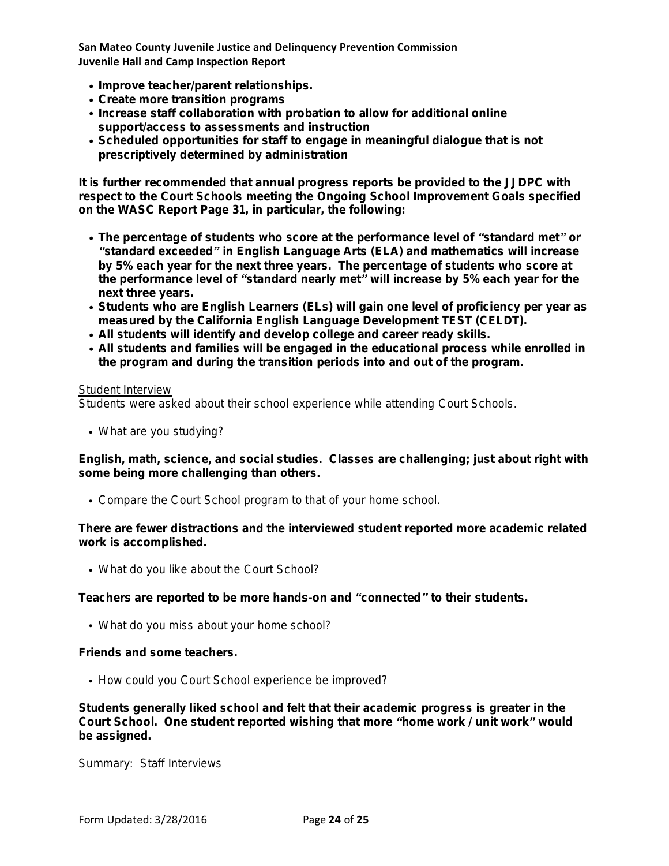- *• Improve teacher/parent relationships.*
- *• Create more transition programs*
- *• Increase staff collaboration with probation to allow for additional online support/access to assessments and instruction*
- *• Scheduled opportunities for staff to engage in meaningful dialogue that is not prescriptively determined by administration*

*It is further recommended that annual progress reports be provided to the JJDPC with respect to the Court Schools meeting the Ongoing School Improvement Goals specified on the WASC Report Page 31, in particular, the following:* 

- *• The percentage of students who score at the performance level of "standard met" or "standard exceeded" in English Language Arts (ELA) and mathematics will increase by 5% each year for the next three years. The percentage of students who score at the performance level of "standard nearly met" will increase by 5% each year for the next three years.*
- *• Students who are English Learners (ELs) will gain one level of proficiency per year as measured by the California English Language Development TEST (CELDT).*
- *• All students will identify and develop college and career ready skills.*
- *• All students and families will be engaged in the educational process while enrolled in the program and during the transition periods into and out of the program.*

#### **Student Interview**

**Students were asked about their school experience while attending Court Schools.**

**• What are you studying?**

*English, math, science, and social studies. Classes are challenging; just about right with some being more challenging than others.*

**• Compare the Court School program to that of your home school.**

*There are fewer distractions and the interviewed student reported more academic related work is accomplished.*

**• What do you like about the Court School?**

*Teachers are reported to be more hands-on and "connected" to their students.* 

**• What do you miss about your home school?**

*Friends and some teachers.*

**• How could you Court School experience be improved?**

*Students generally liked school and felt that their academic progress is greater in the Court School. One student reported wishing that more "home work / unit work" would be assigned.*

**Summary: Staff Interviews**